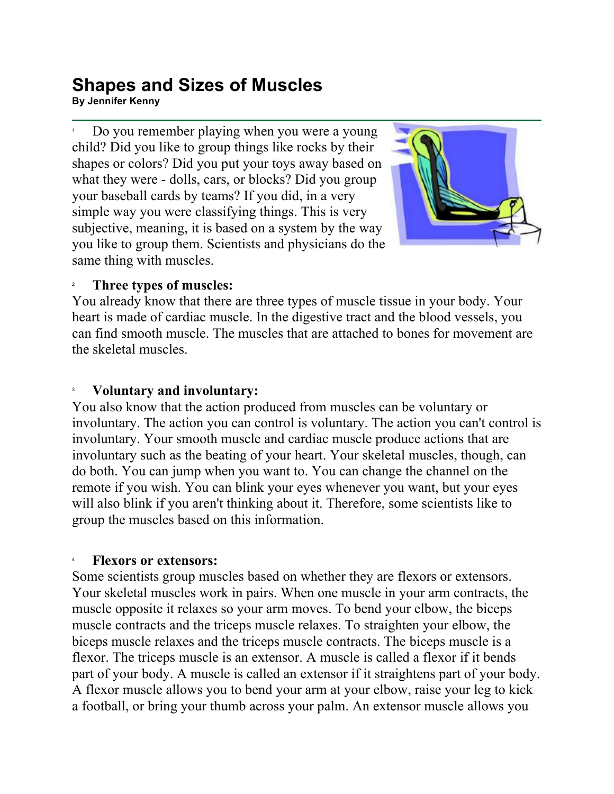## **Shapes and Sizes of Muscles By Jennifer Kenny**<br>By Jennifer Kenny

1 Do you remember playing when you were a young child? Did you like to group things like rocks by their shapes or colors? Did you put your toys away based on what they were - dolls, cars, or blocks? Did you group your baseball cards by teams? If you did, in a very simple way you were classifying things. This is very subjective, meaning, it is based on a system by the way you like to group them. Scientists and physicians do the same thing with muscles.



#### 2 **Three types of muscles:**

You already know that there are three types of muscle tissue in your body. Your heart is made of cardiac muscle. In the digestive tract and the blood vessels, you can find smooth muscle. The muscles that are attached to bones for movement are the skeletal muscles.

### 3 **Voluntary and involuntary:**

You also know that the action produced from muscles can be voluntary or involuntary. The action you can control is voluntary. The action you can't control is involuntary. Your smooth muscle and cardiac muscle produce actions that are involuntary such as the beating of your heart. Your skeletal muscles, though, can do both. You can jump when you want to. You can change the channel on the remote if you wish. You can blink your eyes whenever you want, but your eyes will also blink if you aren't thinking about it. Therefore, some scientists like to group the muscles based on this information.

#### 4 **Flexors or extensors:**

Some scientists group muscles based on whether they are flexors or extensors. Your skeletal muscles work in pairs. When one muscle in your arm contracts, the muscle opposite it relaxes so your arm moves. To bend your elbow, the biceps muscle contracts and the triceps muscle relaxes. To straighten your elbow, the biceps muscle relaxes and the triceps muscle contracts. The biceps muscle is a flexor. The triceps muscle is an extensor. A muscle is called a flexor if it bends part of your body. A muscle is called an extensor if it straightens part of your body. A flexor muscle allows you to bend your arm at your elbow, raise your leg to kick a football, or bring your thumb across your palm. An extensor muscle allows you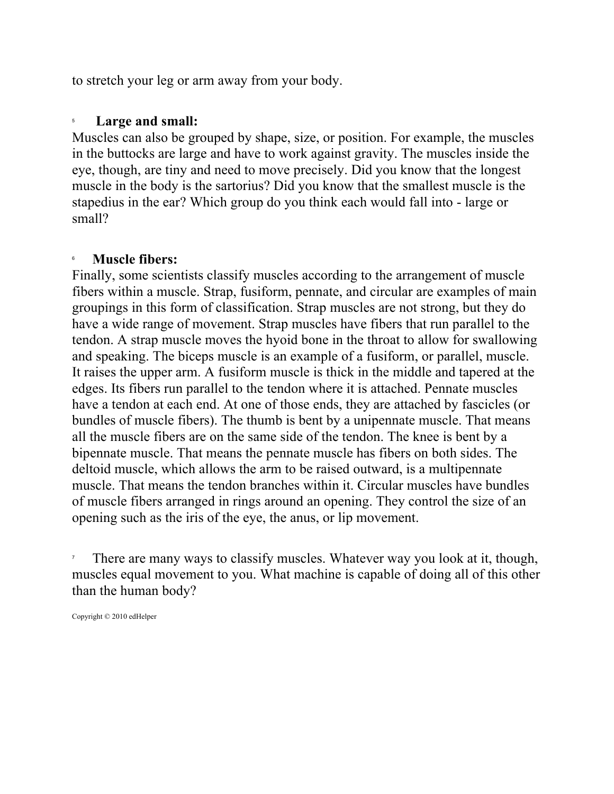to stretch your leg or arm away from your body.

#### 5 **Large and small:**

Muscles can also be grouped by shape, size, or position. For example, the muscles in the buttocks are large and have to work against gravity. The muscles inside the eye, though, are tiny and need to move precisely. Did you know that the longest muscle in the body is the sartorius? Did you know that the smallest muscle is the stapedius in the ear? Which group do you think each would fall into - large or small?

#### 6 **Muscle fibers:**

Finally, some scientists classify muscles according to the arrangement of muscle fibers within a muscle. Strap, fusiform, pennate, and circular are examples of main groupings in this form of classification. Strap muscles are not strong, but they do have a wide range of movement. Strap muscles have fibers that run parallel to the tendon. A strap muscle moves the hyoid bone in the throat to allow for swallowing and speaking. The biceps muscle is an example of a fusiform, or parallel, muscle. It raises the upper arm. A fusiform muscle is thick in the middle and tapered at the edges. Its fibers run parallel to the tendon where it is attached. Pennate muscles have a tendon at each end. At one of those ends, they are attached by fascicles (or bundles of muscle fibers). The thumb is bent by a unipennate muscle. That means all the muscle fibers are on the same side of the tendon. The knee is bent by a bipennate muscle. That means the pennate muscle has fibers on both sides. The deltoid muscle, which allows the arm to be raised outward, is a multipennate muscle. That means the tendon branches within it. Circular muscles have bundles of muscle fibers arranged in rings around an opening. They control the size of an opening such as the iris of the eye, the anus, or lip movement.

7 There are many ways to classify muscles. Whatever way you look at it, though, muscles equal movement to you. What machine is capable of doing all of this other than the human body?

Copyright © 2010 edHelper